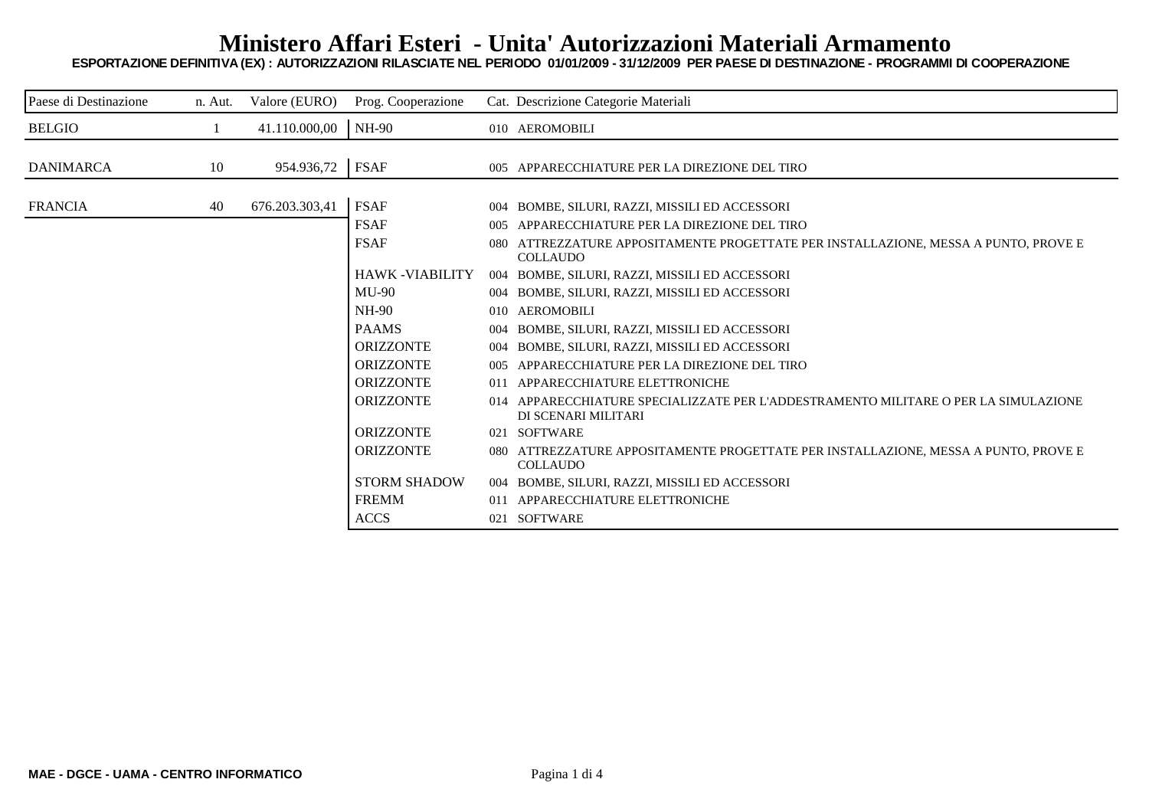## **Ministero Affari Esteri - Unita' Autorizzazioni Materiali Armamento**

**ESPORTAZIONE DEFINITIVA (EX) : AUTORIZZAZIONI RILASCIATE NEL PERIODO 01/01/2009 - 31/12/2009 PER PAESE DI DESTINAZIONE - PROGRAMMI DI COOPERAZIONE**

| Paese di Destinazione | n. Aut. | Valore (EURO)  | Prog. Cooperazione    |     | Cat. Descrizione Categorie Materiali                                                                       |
|-----------------------|---------|----------------|-----------------------|-----|------------------------------------------------------------------------------------------------------------|
| <b>BELGIO</b>         |         | 41.110.000,00  | <b>NH-90</b>          |     | 010 AEROMOBILI                                                                                             |
|                       |         |                |                       |     |                                                                                                            |
| <b>DANIMARCA</b>      | 10      | 954.936,72     | <b>FSAF</b>           |     | 005 APPARECCHIATURE PER LA DIREZIONE DEL TIRO                                                              |
|                       |         |                |                       |     |                                                                                                            |
| <b>FRANCIA</b>        | 40      | 676.203.303,41 | <b>FSAF</b>           |     | 004 BOMBE, SILURI, RAZZI, MISSILI ED ACCESSORI                                                             |
|                       |         |                | <b>FSAF</b>           |     | 005 APPARECCHIATURE PER LA DIREZIONE DEL TIRO                                                              |
|                       |         |                | <b>FSAF</b>           |     | 080 ATTREZZATURE APPOSITAMENTE PROGETTATE PER INSTALLAZIONE, MESSA A PUNTO, PROVE E<br><b>COLLAUDO</b>     |
|                       |         |                | <b>HAWK-VIABILITY</b> |     | 004 BOMBE, SILURI, RAZZI, MISSILI ED ACCESSORI                                                             |
|                       |         |                | $MU-90$               |     | 004 BOMBE, SILURI, RAZZI, MISSILI ED ACCESSORI                                                             |
|                       |         |                | <b>NH-90</b>          |     | 010 AEROMOBILI                                                                                             |
|                       |         |                | <b>PAAMS</b>          |     | 004 BOMBE, SILURI, RAZZI, MISSILI ED ACCESSORI                                                             |
|                       |         |                | <b>ORIZZONTE</b>      |     | 004 BOMBE, SILURI, RAZZI, MISSILI ED ACCESSORI                                                             |
|                       |         |                | <b>ORIZZONTE</b>      |     | 005 APPARECCHIATURE PER LA DIREZIONE DEL TIRO                                                              |
|                       |         |                | <b>ORIZZONTE</b>      | 011 | APPARECCHIATURE ELETTRONICHE                                                                               |
|                       |         |                | <b>ORIZZONTE</b>      |     | 014 APPARECCHIATURE SPECIALIZZATE PER L'ADDESTRAMENTO MILITARE O PER LA SIMULAZIONE<br>DI SCENARI MILITARI |
|                       |         |                | <b>ORIZZONTE</b>      |     | 021 SOFTWARE                                                                                               |
|                       |         |                | <b>ORIZZONTE</b>      | 080 | ATTREZZATURE APPOSITAMENTE PROGETTATE PER INSTALLAZIONE, MESSA A PUNTO, PROVE E                            |
|                       |         |                |                       |     | <b>COLLAUDO</b>                                                                                            |
|                       |         |                | <b>STORM SHADOW</b>   |     | 004 BOMBE, SILURI, RAZZI, MISSILI ED ACCESSORI                                                             |
|                       |         |                | <b>FREMM</b>          |     | 011 APPARECCHIATURE ELETTRONICHE                                                                           |
|                       |         |                | <b>ACCS</b>           |     | 021 SOFTWARE                                                                                               |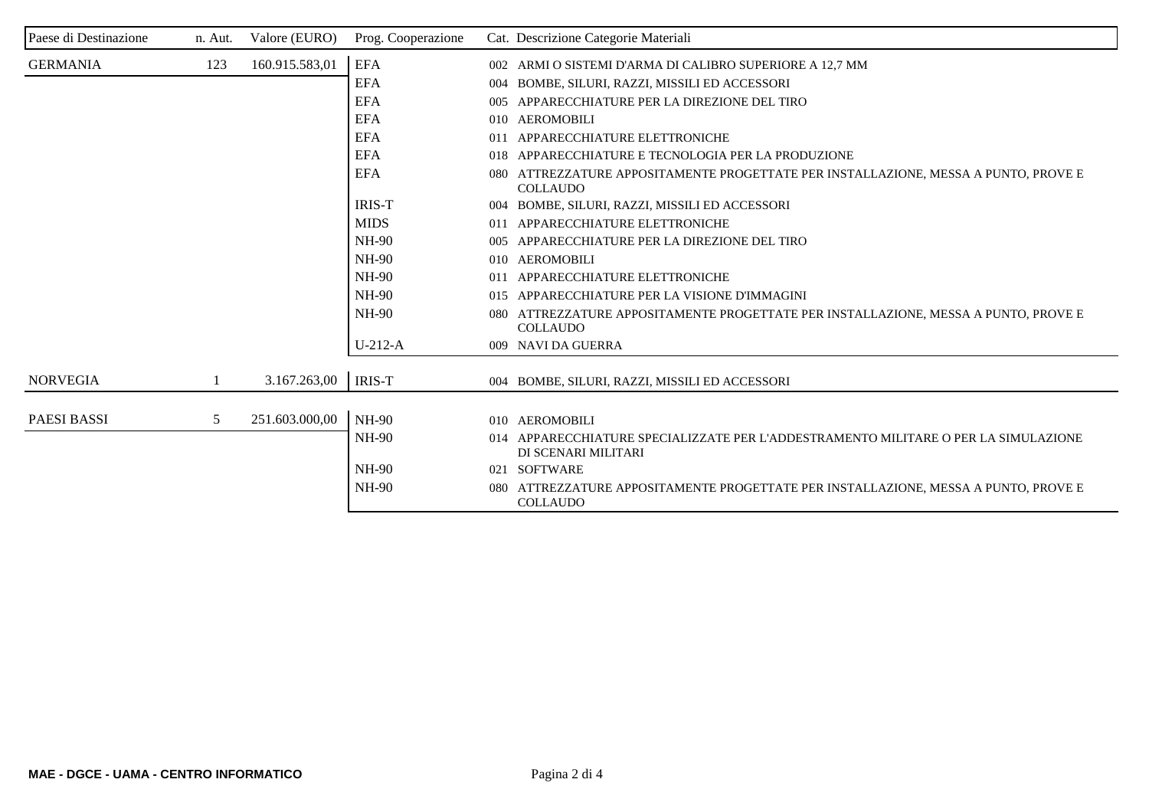| Paese di Destinazione | n. Aut. | Valore (EURO)  | Prog. Cooperazione | Cat. Descrizione Categorie Materiali                                                                                |
|-----------------------|---------|----------------|--------------------|---------------------------------------------------------------------------------------------------------------------|
| <b>GERMANIA</b>       | 123     | 160.915.583,01 | <b>EFA</b>         | 002 ARMI O SISTEMI D'ARMA DI CALIBRO SUPERIORE A 12,7 MM                                                            |
|                       |         |                | <b>EFA</b>         | BOMBE, SILURI, RAZZI, MISSILI ED ACCESSORI<br>004                                                                   |
|                       |         |                | <b>EFA</b>         | APPARECCHIATURE PER LA DIREZIONE DEL TIRO<br>005                                                                    |
|                       |         |                | <b>EFA</b>         | 010 AEROMOBILI                                                                                                      |
|                       |         |                | <b>EFA</b>         | 011 APPARECCHIATURE ELETTRONICHE                                                                                    |
|                       |         |                | <b>EFA</b>         | 018 APPARECCHIATURE E TECNOLOGIA PER LA PRODUZIONE                                                                  |
|                       |         |                | <b>EFA</b>         | 080 ATTREZZATURE APPOSITAMENTE PROGETTATE PER INSTALLAZIONE, MESSA A PUNTO, PROVE E<br><b>COLLAUDO</b>              |
|                       |         |                | <b>IRIS-T</b>      | 004 BOMBE, SILURI, RAZZI, MISSILI ED ACCESSORI                                                                      |
|                       |         |                | <b>MIDS</b>        | 011 APPARECCHIATURE ELETTRONICHE                                                                                    |
|                       |         |                | <b>NH-90</b>       | APPARECCHIATURE PER LA DIREZIONE DEL TIRO<br>005                                                                    |
|                       |         |                | $NH-90$            | 010 AEROMOBILI                                                                                                      |
|                       |         |                | $NH-90$            | 011 APPARECCHIATURE ELETTRONICHE                                                                                    |
|                       |         |                | <b>NH-90</b>       | APPARECCHIATURE PER LA VISIONE D'IMMAGINI<br>015                                                                    |
|                       |         |                | <b>NH-90</b>       | ATTREZZATURE APPOSITAMENTE PROGETTATE PER INSTALLAZIONE, MESSA A PUNTO, PROVE E<br>$080^{\circ}$<br><b>COLLAUDO</b> |
|                       |         |                | $U-212-A$          | 009 NAVI DA GUERRA                                                                                                  |
|                       |         |                |                    |                                                                                                                     |
| <b>NORVEGIA</b>       |         | 3.167.263,00   | <b>IRIS-T</b>      | 004 BOMBE, SILURI, RAZZI, MISSILI ED ACCESSORI                                                                      |
|                       |         |                |                    |                                                                                                                     |
| <b>PAESI BASSI</b>    | 5       | 251.603.000,00 | <b>NH-90</b>       | 010 AEROMOBILI                                                                                                      |
|                       |         |                | <b>NH-90</b>       | 014 APPARECCHIATURE SPECIALIZZATE PER L'ADDESTRAMENTO MILITARE O PER LA SIMULAZIONE<br>DI SCENARI MILITARI          |
|                       |         |                | <b>NH-90</b>       | 021 SOFTWARE                                                                                                        |
|                       |         |                | <b>NH-90</b>       | ATTREZZATURE APPOSITAMENTE PROGETTATE PER INSTALLAZIONE, MESSA A PUNTO, PROVE E<br>080<br><b>COLLAUDO</b>           |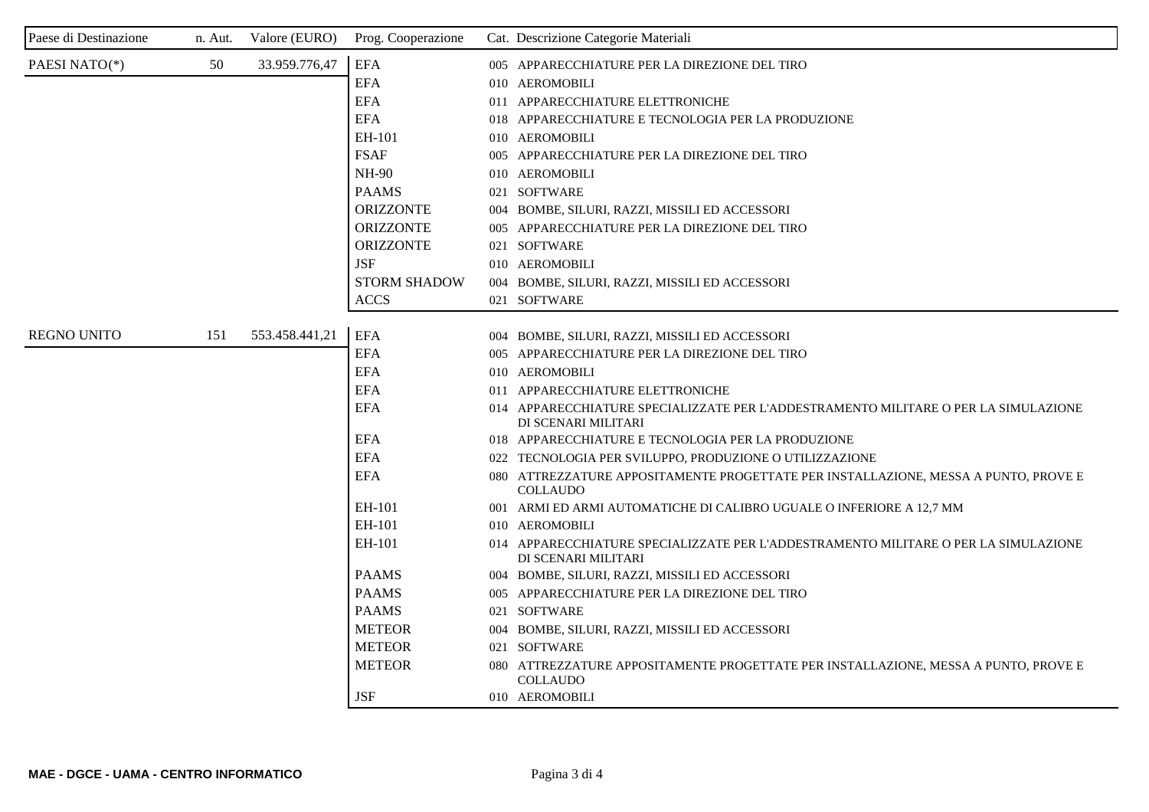| Paese di Destinazione | n. Aut. | Valore (EURO)  | Prog. Cooperazione  | Cat. Descrizione Categorie Materiali                                                                       |
|-----------------------|---------|----------------|---------------------|------------------------------------------------------------------------------------------------------------|
| PAESI NATO(*)         | 50      | 33.959.776,47  | <b>EFA</b>          | 005 APPARECCHIATURE PER LA DIREZIONE DEL TIRO                                                              |
|                       |         |                | <b>EFA</b>          | 010 AEROMOBILI                                                                                             |
|                       |         |                | <b>EFA</b>          | 011 APPARECCHIATURE ELETTRONICHE                                                                           |
|                       |         |                | <b>EFA</b>          | 018 APPARECCHIATURE E TECNOLOGIA PER LA PRODUZIONE                                                         |
|                       |         |                | EH-101              | 010 AEROMOBILI                                                                                             |
|                       |         |                | <b>FSAF</b>         | 005 APPARECCHIATURE PER LA DIREZIONE DEL TIRO                                                              |
|                       |         |                | <b>NH-90</b>        | 010 AEROMOBILI                                                                                             |
|                       |         |                | <b>PAAMS</b>        | 021 SOFTWARE                                                                                               |
|                       |         |                | <b>ORIZZONTE</b>    | 004 BOMBE, SILURI, RAZZI, MISSILI ED ACCESSORI                                                             |
|                       |         |                | <b>ORIZZONTE</b>    | 005 APPARECCHIATURE PER LA DIREZIONE DEL TIRO                                                              |
|                       |         |                | <b>ORIZZONTE</b>    | 021 SOFTWARE                                                                                               |
|                       |         |                | <b>JSF</b>          | 010 AEROMOBILI                                                                                             |
|                       |         |                | <b>STORM SHADOW</b> | 004 BOMBE, SILURI, RAZZI, MISSILI ED ACCESSORI                                                             |
|                       |         |                | <b>ACCS</b>         | 021 SOFTWARE                                                                                               |
| <b>REGNO UNITO</b>    | 151     | 553.458.441,21 | <b>EFA</b>          | 004 BOMBE, SILURI, RAZZI, MISSILI ED ACCESSORI                                                             |
|                       |         |                | <b>EFA</b>          | 005 APPARECCHIATURE PER LA DIREZIONE DEL TIRO                                                              |
|                       |         |                | <b>EFA</b>          | 010 AEROMOBILI                                                                                             |
|                       |         |                | <b>EFA</b>          | 011 APPARECCHIATURE ELETTRONICHE                                                                           |
|                       |         |                | <b>EFA</b>          | 014 APPARECCHIATURE SPECIALIZZATE PER L'ADDESTRAMENTO MILITARE O PER LA SIMULAZIONE<br>DI SCENARI MILITARI |
|                       |         |                | <b>EFA</b>          | 018 APPARECCHIATURE E TECNOLOGIA PER LA PRODUZIONE                                                         |
|                       |         |                | <b>EFA</b>          | 022 TECNOLOGIA PER SVILUPPO, PRODUZIONE O UTILIZZAZIONE                                                    |
|                       |         |                | EFA                 | 080 ATTREZZATURE APPOSITAMENTE PROGETTATE PER INSTALLAZIONE, MESSA A PUNTO, PROVE E<br><b>COLLAUDO</b>     |
|                       |         |                | EH-101              | 001 ARMI ED ARMI AUTOMATICHE DI CALIBRO UGUALE O INFERIORE A 12.7 MM                                       |
|                       |         |                | EH-101              | 010 AEROMOBILI                                                                                             |
|                       |         |                | EH-101              | 014 APPARECCHIATURE SPECIALIZZATE PER L'ADDESTRAMENTO MILITARE O PER LA SIMULAZIONE<br>DI SCENARI MILITARI |
|                       |         |                | <b>PAAMS</b>        | 004 BOMBE, SILURI, RAZZI, MISSILI ED ACCESSORI                                                             |
|                       |         |                | <b>PAAMS</b>        | 005 APPARECCHIATURE PER LA DIREZIONE DEL TIRO                                                              |
|                       |         |                | <b>PAAMS</b>        | 021 SOFTWARE                                                                                               |
|                       |         |                | <b>METEOR</b>       | 004 BOMBE, SILURI, RAZZI, MISSILI ED ACCESSORI                                                             |
|                       |         |                | <b>METEOR</b>       | 021 SOFTWARE                                                                                               |
|                       |         |                | <b>METEOR</b>       | 080 ATTREZZATURE APPOSITAMENTE PROGETTATE PER INSTALLAZIONE, MESSA A PUNTO, PROVE E<br><b>COLLAUDO</b>     |
|                       |         |                | <b>JSF</b>          | 010 AEROMOBILI                                                                                             |